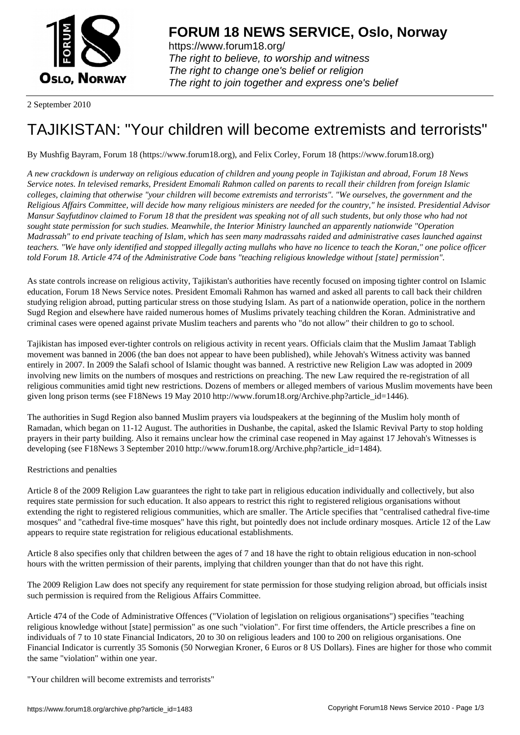

https://www.forum18.org/ The right to believe, to worship and witness The right to change one's belief or religion [The right to join together a](https://www.forum18.org/)nd express one's belief

2 September 2010

## [TAJIKISTAN: "Y](https://www.forum18.org)our children will become extremists and terrorists"

By Mushfig Bayram, Forum 18 (https://www.forum18.org), and Felix Corley, Forum 18 (https://www.forum18.org)

*A new crackdown is underway on religious education of children and young people in Tajikistan and abroad, Forum 18 News Service notes. In televised remarks, President Emomali Rahmon called on parents to recall their children from foreign Islamic colleges, claiming that otherwise "your children will become extremists and terrorists". "We ourselves, the government and the Religious Affairs Committee, will decide how many religious ministers are needed for the country," he insisted. Presidential Advisor Mansur Sayfutdinov claimed to Forum 18 that the president was speaking not of all such students, but only those who had not sought state permission for such studies. Meanwhile, the Interior Ministry launched an apparently nationwide "Operation Madrassah" to end private teaching of Islam, which has seen many madrassahs raided and administrative cases launched against teachers. "We have only identified and stopped illegally acting mullahs who have no licence to teach the Koran," one police officer told Forum 18. Article 474 of the Administrative Code bans "teaching religious knowledge without [state] permission".*

As state controls increase on religious activity, Tajikistan's authorities have recently focused on imposing tighter control on Islamic education, Forum 18 News Service notes. President Emomali Rahmon has warned and asked all parents to call back their children studying religion abroad, putting particular stress on those studying Islam. As part of a nationwide operation, police in the northern Sugd Region and elsewhere have raided numerous homes of Muslims privately teaching children the Koran. Administrative and criminal cases were opened against private Muslim teachers and parents who "do not allow" their children to go to school.

Tajikistan has imposed ever-tighter controls on religious activity in recent years. Officials claim that the Muslim Jamaat Tabligh movement was banned in 2006 (the ban does not appear to have been published), while Jehovah's Witness activity was banned entirely in 2007. In 2009 the Salafi school of Islamic thought was banned. A restrictive new Religion Law was adopted in 2009 involving new limits on the numbers of mosques and restrictions on preaching. The new Law required the re-registration of all religious communities amid tight new restrictions. Dozens of members or alleged members of various Muslim movements have been given long prison terms (see F18News 19 May 2010 http://www.forum18.org/Archive.php?article\_id=1446).

The authorities in Sugd Region also banned Muslim prayers via loudspeakers at the beginning of the Muslim holy month of Ramadan, which began on 11-12 August. The authorities in Dushanbe, the capital, asked the Islamic Revival Party to stop holding prayers in their party building. Also it remains unclear how the criminal case reopened in May against 17 Jehovah's Witnesses is developing (see F18News 3 September 2010 http://www.forum18.org/Archive.php?article\_id=1484).

## Restrictions and penalties

Article 8 of the 2009 Religion Law guarantees the right to take part in religious education individually and collectively, but also requires state permission for such education. It also appears to restrict this right to registered religious organisations without extending the right to registered religious communities, which are smaller. The Article specifies that "centralised cathedral five-time mosques" and "cathedral five-time mosques" have this right, but pointedly does not include ordinary mosques. Article 12 of the Law appears to require state registration for religious educational establishments.

Article 8 also specifies only that children between the ages of 7 and 18 have the right to obtain religious education in non-school hours with the written permission of their parents, implying that children younger than that do not have this right.

The 2009 Religion Law does not specify any requirement for state permission for those studying religion abroad, but officials insist such permission is required from the Religious Affairs Committee.

Article 474 of the Code of Administrative Offences ("Violation of legislation on religious organisations") specifies "teaching religious knowledge without [state] permission" as one such "violation". For first time offenders, the Article prescribes a fine on individuals of 7 to 10 state Financial Indicators, 20 to 30 on religious leaders and 100 to 200 on religious organisations. One Financial Indicator is currently 35 Somonis (50 Norwegian Kroner, 6 Euros or 8 US Dollars). Fines are higher for those who commit the same "violation" within one year.

"Your children will become extremists and terrorists"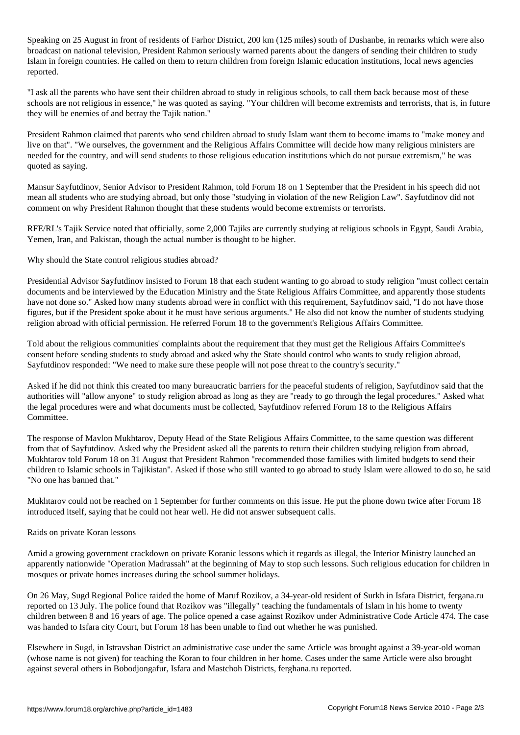Speaking on 25 August in front of residents of Farhor District, 200 km (125 miles) south of Dushanbe, in remarks which were also broadcast on national television, President Rahmon seriously warned parents about the dangers of sending their children to study Islam in foreign countries. He called on them to return children from foreign Islamic education institutions, local news agencies reported.

"I ask all the parents who have sent their children abroad to study in religious schools, to call them back because most of these schools are not religious in essence," he was quoted as saying. "Your children will become extremists and terrorists, that is, in future they will be enemies of and betray the Tajik nation."

President Rahmon claimed that parents who send children abroad to study Islam want them to become imams to "make money and live on that". "We ourselves, the government and the Religious Affairs Committee will decide how many religious ministers are needed for the country, and will send students to those religious education institutions which do not pursue extremism," he was quoted as saying.

Mansur Sayfutdinov, Senior Advisor to President Rahmon, told Forum 18 on 1 September that the President in his speech did not mean all students who are studying abroad, but only those "studying in violation of the new Religion Law". Sayfutdinov did not comment on why President Rahmon thought that these students would become extremists or terrorists.

RFE/RL's Tajik Service noted that officially, some 2,000 Tajiks are currently studying at religious schools in Egypt, Saudi Arabia, Yemen, Iran, and Pakistan, though the actual number is thought to be higher.

Why should the State control religious studies abroad?

Presidential Advisor Sayfutdinov insisted to Forum 18 that each student wanting to go abroad to study religion "must collect certain documents and be interviewed by the Education Ministry and the State Religious Affairs Committee, and apparently those students have not done so." Asked how many students abroad were in conflict with this requirement, Sayfutdinov said, "I do not have those figures, but if the President spoke about it he must have serious arguments." He also did not know the number of students studying religion abroad with official permission. He referred Forum 18 to the government's Religious Affairs Committee.

Told about the religious communities' complaints about the requirement that they must get the Religious Affairs Committee's consent before sending students to study abroad and asked why the State should control who wants to study religion abroad, Sayfutdinov responded: "We need to make sure these people will not pose threat to the country's security."

Asked if he did not think this created too many bureaucratic barriers for the peaceful students of religion, Sayfutdinov said that the authorities will "allow anyone" to study religion abroad as long as they are "ready to go through the legal procedures." Asked what the legal procedures were and what documents must be collected, Sayfutdinov referred Forum 18 to the Religious Affairs Committee.

The response of Mavlon Mukhtarov, Deputy Head of the State Religious Affairs Committee, to the same question was different from that of Sayfutdinov. Asked why the President asked all the parents to return their children studying religion from abroad, Mukhtarov told Forum 18 on 31 August that President Rahmon "recommended those families with limited budgets to send their children to Islamic schools in Tajikistan". Asked if those who still wanted to go abroad to study Islam were allowed to do so, he said "No one has banned that."

Mukhtarov could not be reached on 1 September for further comments on this issue. He put the phone down twice after Forum 18 introduced itself, saying that he could not hear well. He did not answer subsequent calls.

## Raids on private Koran lessons

Amid a growing government crackdown on private Koranic lessons which it regards as illegal, the Interior Ministry launched an apparently nationwide "Operation Madrassah" at the beginning of May to stop such lessons. Such religious education for children in mosques or private homes increases during the school summer holidays.

On 26 May, Sugd Regional Police raided the home of Maruf Rozikov, a 34-year-old resident of Surkh in Isfara District, fergana.ru reported on 13 July. The police found that Rozikov was "illegally" teaching the fundamentals of Islam in his home to twenty children between 8 and 16 years of age. The police opened a case against Rozikov under Administrative Code Article 474. The case was handed to Isfara city Court, but Forum 18 has been unable to find out whether he was punished.

Elsewhere in Sugd, in Istravshan District an administrative case under the same Article was brought against a 39-year-old woman (whose name is not given) for teaching the Koran to four children in her home. Cases under the same Article were also brought against several others in Bobodjongafur, Isfara and Mastchoh Districts, ferghana.ru reported.